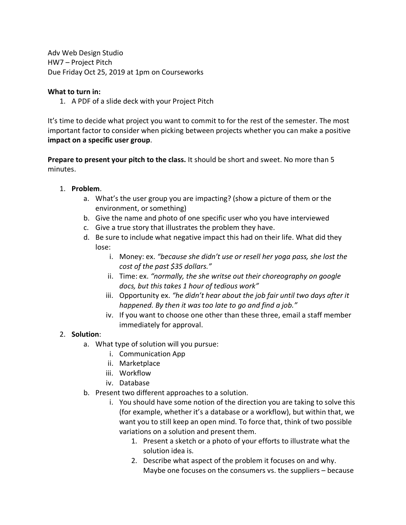Adv Web Design Studio HW7 – Project Pitch Due Friday Oct 25, 2019 at 1pm on Courseworks

### **What to turn in:**

1. A PDF of a slide deck with your Project Pitch

It's time to decide what project you want to commit to for the rest of the semester. The most important factor to consider when picking between projects whether you can make a positive **impact on a specific user group**.

**Prepare to present your pitch to the class.** It should be short and sweet. No more than 5 minutes.

### 1. **Problem**.

- a. What's the user group you are impacting? (show a picture of them or the environment, or something)
- b. Give the name and photo of one specific user who you have interviewed
- c. Give a true story that illustrates the problem they have.
- d. Be sure to include what negative impact this had on their life. What did they lose:
	- i. Money: ex. *"because she didn't use or resell her yoga pass, she lost the cost of the past \$35 dollars."*
	- ii. Time: ex. *"normally, the she writse out their choreography on google docs, but this takes 1 hour of tedious work"*
	- iii. Opportunity ex. *"he didn't hear about the job fair until two days after it happened. By then it was too late to go and find a job."*
	- iv. If you want to choose one other than these three, email a staff member immediately for approval.

## 2. **Solution**:

- a. What type of solution will you pursue:
	- i. Communication App
	- ii. Marketplace
	- iii. Workflow
	- iv. Database
- b. Present two different approaches to a solution.
	- i. You should have some notion of the direction you are taking to solve this (for example, whether it's a database or a workflow), but within that, we want you to still keep an open mind. To force that, think of two possible variations on a solution and present them.
		- 1. Present a sketch or a photo of your efforts to illustrate what the solution idea is.
		- 2. Describe what aspect of the problem it focuses on and why. Maybe one focuses on the consumers vs. the suppliers – because